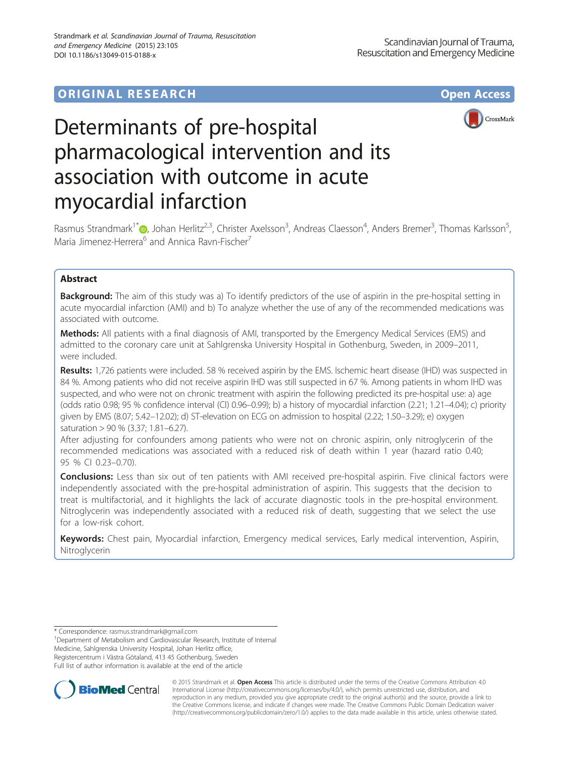# **ORIGINAL RESEARCH CONSUMING ACCESS**



# Determinants of pre-hospital pharmacological intervention and its association with outcome in acute myocardial infarction

Rasmus Strandmark<sup>1\*</sup>�, Johan Herlitz<sup>2,3</sup>, Christer Axelsson<sup>3</sup>, Andreas Claesson<sup>4</sup>, Anders Bremer<sup>3</sup>, Thomas Karlsson<sup>5</sup> , Maria Jimenez-Herrera<sup>6</sup> and Annica Rayn-Fischer<sup>7</sup>

## Abstract

Background: The aim of this study was a) To identify predictors of the use of aspirin in the pre-hospital setting in acute myocardial infarction (AMI) and b) To analyze whether the use of any of the recommended medications was associated with outcome.

Methods: All patients with a final diagnosis of AMI, transported by the Emergency Medical Services (EMS) and admitted to the coronary care unit at Sahlgrenska University Hospital in Gothenburg, Sweden, in 2009–2011, were included.

Results: 1,726 patients were included. 58 % received aspirin by the EMS. Ischemic heart disease (IHD) was suspected in 84 %. Among patients who did not receive aspirin IHD was still suspected in 67 %. Among patients in whom IHD was suspected, and who were not on chronic treatment with aspirin the following predicted its pre-hospital use: a) age (odds ratio 0.98; 95 % confidence interval (CI) 0.96–0.99); b) a history of myocardial infarction (2.21; 1.21–4.04); c) priority given by EMS (8.07; 5.42–12.02); d) ST-elevation on ECG on admission to hospital (2.22; 1.50–3.29); e) oxygen saturation > 90 % (3.37; 1.81–6.27).

After adjusting for confounders among patients who were not on chronic aspirin, only nitroglycerin of the recommended medications was associated with a reduced risk of death within 1 year (hazard ratio 0.40; 95 % CI 0.23–0.70).

**Conclusions:** Less than six out of ten patients with AMI received pre-hospital aspirin. Five clinical factors were independently associated with the pre-hospital administration of aspirin. This suggests that the decision to treat is multifactorial, and it highlights the lack of accurate diagnostic tools in the pre-hospital environment. Nitroglycerin was independently associated with a reduced risk of death, suggesting that we select the use for a low-risk cohort.

Keywords: Chest pain, Myocardial infarction, Emergency medical services, Early medical intervention, Aspirin, Nitroglycerin

\* Correspondence: [rasmus.strandmark@gmail.com](mailto:rasmus.strandmark@gmail.com) <sup>1</sup>

<sup>1</sup>Department of Metabolism and Cardiovascular Research, Institute of Internal Medicine, Sahlgrenska University Hospital, Johan Herlitz office, Registercentrum i Västra Götaland, 413 45 Gothenburg, Sweden Full list of author information is available at the end of the article



© 2015 Strandmark et al. Open Access This article is distributed under the terms of the Creative Commons Attribution 4.0 International License [\(http://creativecommons.org/licenses/by/4.0/](http://creativecommons.org/licenses/by/4.0/)), which permits unrestricted use, distribution, and reproduction in any medium, provided you give appropriate credit to the original author(s) and the source, provide a link to the Creative Commons license, and indicate if changes were made. The Creative Commons Public Domain Dedication waiver [\(http://creativecommons.org/publicdomain/zero/1.0/](http://creativecommons.org/publicdomain/zero/1.0/)) applies to the data made available in this article, unless otherwise stated.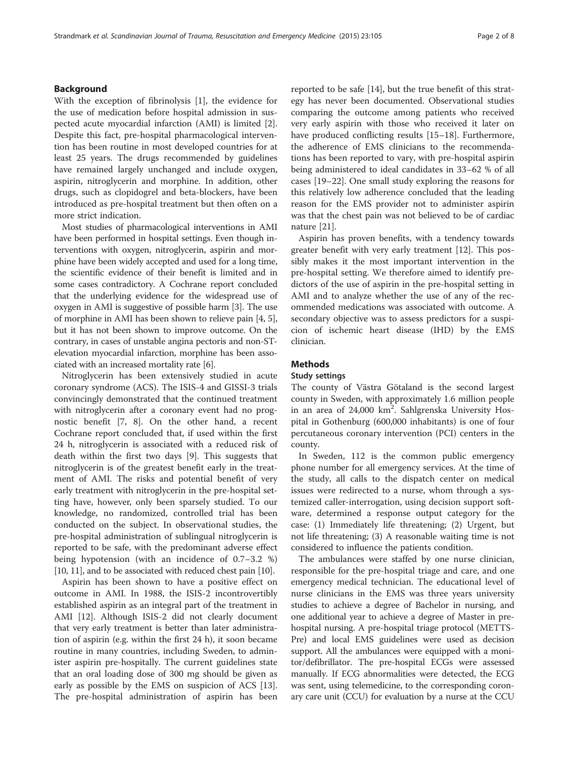## Background

With the exception of fibrinolysis [\[1](#page-6-0)], the evidence for the use of medication before hospital admission in suspected acute myocardial infarction (AMI) is limited [\[2](#page-6-0)]. Despite this fact, pre-hospital pharmacological intervention has been routine in most developed countries for at least 25 years. The drugs recommended by guidelines have remained largely unchanged and include oxygen, aspirin, nitroglycerin and morphine. In addition, other drugs, such as clopidogrel and beta-blockers, have been introduced as pre-hospital treatment but then often on a more strict indication.

Most studies of pharmacological interventions in AMI have been performed in hospital settings. Even though interventions with oxygen, nitroglycerin, aspirin and morphine have been widely accepted and used for a long time, the scientific evidence of their benefit is limited and in some cases contradictory. A Cochrane report concluded that the underlying evidence for the widespread use of oxygen in AMI is suggestive of possible harm [[3](#page-6-0)]. The use of morphine in AMI has been shown to relieve pain [[4, 5](#page-6-0)], but it has not been shown to improve outcome. On the contrary, in cases of unstable angina pectoris and non-STelevation myocardial infarction, morphine has been associated with an increased mortality rate [[6](#page-6-0)].

Nitroglycerin has been extensively studied in acute coronary syndrome (ACS). The ISIS-4 and GISSI-3 trials convincingly demonstrated that the continued treatment with nitroglycerin after a coronary event had no prognostic benefit [[7, 8\]](#page-6-0). On the other hand, a recent Cochrane report concluded that, if used within the first 24 h, nitroglycerin is associated with a reduced risk of death within the first two days [\[9](#page-6-0)]. This suggests that nitroglycerin is of the greatest benefit early in the treatment of AMI. The risks and potential benefit of very early treatment with nitroglycerin in the pre-hospital setting have, however, only been sparsely studied. To our knowledge, no randomized, controlled trial has been conducted on the subject. In observational studies, the pre-hospital administration of sublingual nitroglycerin is reported to be safe, with the predominant adverse effect being hypotension (with an incidence of 0.7–3.2 %) [[10](#page-6-0), [11](#page-6-0)], and to be associated with reduced chest pain [\[10\]](#page-6-0).

Aspirin has been shown to have a positive effect on outcome in AMI. In 1988, the ISIS-2 incontrovertibly established aspirin as an integral part of the treatment in AMI [[12\]](#page-6-0). Although ISIS-2 did not clearly document that very early treatment is better than later administration of aspirin (e.g. within the first 24 h), it soon became routine in many countries, including Sweden, to administer aspirin pre-hospitally. The current guidelines state that an oral loading dose of 300 mg should be given as early as possible by the EMS on suspicion of ACS [\[13](#page-7-0)]. The pre-hospital administration of aspirin has been reported to be safe [[14](#page-7-0)], but the true benefit of this strategy has never been documented. Observational studies comparing the outcome among patients who received very early aspirin with those who received it later on have produced conflicting results [[15](#page-7-0)–[18](#page-7-0)]. Furthermore, the adherence of EMS clinicians to the recommendations has been reported to vary, with pre-hospital aspirin being administered to ideal candidates in 33–62 % of all cases [[19](#page-7-0)–[22](#page-7-0)]. One small study exploring the reasons for this relatively low adherence concluded that the leading reason for the EMS provider not to administer aspirin was that the chest pain was not believed to be of cardiac nature [\[21](#page-7-0)].

Aspirin has proven benefits, with a tendency towards greater benefit with very early treatment [\[12](#page-6-0)]. This possibly makes it the most important intervention in the pre-hospital setting. We therefore aimed to identify predictors of the use of aspirin in the pre-hospital setting in AMI and to analyze whether the use of any of the recommended medications was associated with outcome. A secondary objective was to assess predictors for a suspicion of ischemic heart disease (IHD) by the EMS clinician.

## **Methods**

#### Study settings

The county of Västra Götaland is the second largest county in Sweden, with approximately 1.6 million people in an area of 24,000 km<sup>2</sup>. Sahlgrenska University Hospital in Gothenburg (600,000 inhabitants) is one of four percutaneous coronary intervention (PCI) centers in the county.

In Sweden, 112 is the common public emergency phone number for all emergency services. At the time of the study, all calls to the dispatch center on medical issues were redirected to a nurse, whom through a systemized caller-interrogation, using decision support software, determined a response output category for the case: (1) Immediately life threatening; (2) Urgent, but not life threatening; (3) A reasonable waiting time is not considered to influence the patients condition.

The ambulances were staffed by one nurse clinician, responsible for the pre-hospital triage and care, and one emergency medical technician. The educational level of nurse clinicians in the EMS was three years university studies to achieve a degree of Bachelor in nursing, and one additional year to achieve a degree of Master in prehospital nursing. A pre-hospital triage protocol (METTS-Pre) and local EMS guidelines were used as decision support. All the ambulances were equipped with a monitor/defibrillator. The pre-hospital ECGs were assessed manually. If ECG abnormalities were detected, the ECG was sent, using telemedicine, to the corresponding coronary care unit (CCU) for evaluation by a nurse at the CCU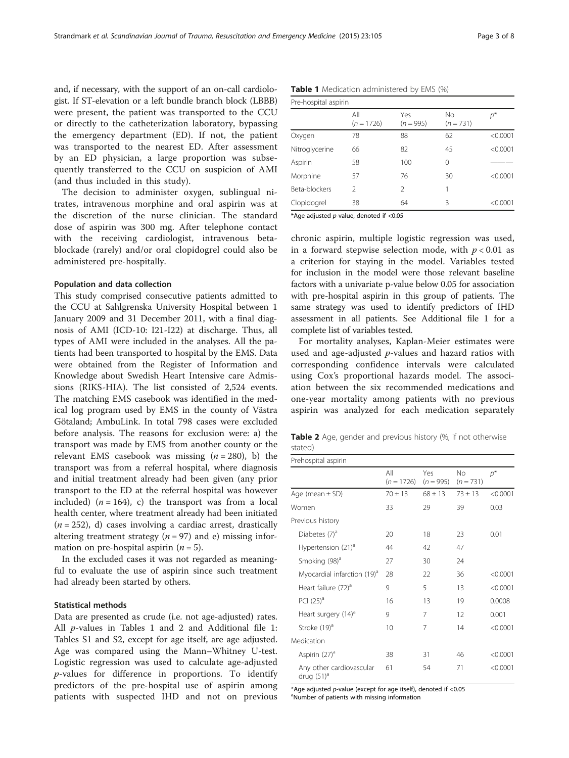<span id="page-2-0"></span>and, if necessary, with the support of an on-call cardiologist. If ST-elevation or a left bundle branch block (LBBB) were present, the patient was transported to the CCU or directly to the catheterization laboratory, bypassing the emergency department (ED). If not, the patient was transported to the nearest ED. After assessment by an ED physician, a large proportion was subsequently transferred to the CCU on suspicion of AMI (and thus included in this study).

The decision to administer oxygen, sublingual nitrates, intravenous morphine and oral aspirin was at the discretion of the nurse clinician. The standard dose of aspirin was 300 mg. After telephone contact with the receiving cardiologist, intravenous betablockade (rarely) and/or oral clopidogrel could also be administered pre-hospitally.

#### Population and data collection

This study comprised consecutive patients admitted to the CCU at Sahlgrenska University Hospital between 1 January 2009 and 31 December 2011, with a final diagnosis of AMI (ICD-10: I21-I22) at discharge. Thus, all types of AMI were included in the analyses. All the patients had been transported to hospital by the EMS. Data were obtained from the Register of Information and Knowledge about Swedish Heart Intensive care Admissions (RIKS-HIA). The list consisted of 2,524 events. The matching EMS casebook was identified in the medical log program used by EMS in the county of Västra Götaland; AmbuLink. In total 798 cases were excluded before analysis. The reasons for exclusion were: a) the transport was made by EMS from another county or the relevant EMS casebook was missing  $(n = 280)$ , b) the transport was from a referral hospital, where diagnosis and initial treatment already had been given (any prior transport to the ED at the referral hospital was however included)  $(n = 164)$ , c) the transport was from a local health center, where treatment already had been initiated  $(n = 252)$ , d) cases involving a cardiac arrest, drastically altering treatment strategy ( $n = 97$ ) and e) missing information on pre-hospital aspirin  $(n = 5)$ .

In the excluded cases it was not regarded as meaningful to evaluate the use of aspirin since such treatment had already been started by others.

### Statistical methods

Data are presented as crude (i.e. not age-adjusted) rates. All  $p$ -values in Tables [1](#page-6-0) and 2 and Additional file 1: Tables S1 and S2, except for age itself, are age adjusted. Age was compared using the Mann–Whitney U-test. Logistic regression was used to calculate age-adjusted p-values for difference in proportions. To identify predictors of the pre-hospital use of aspirin among patients with suspected IHD and not on previous

|  |  |  |  |  | <b>Table 1</b> Medication administered by EMS (%) |  |  |  |  |  |  |  |
|--|--|--|--|--|---------------------------------------------------|--|--|--|--|--|--|--|
|--|--|--|--|--|---------------------------------------------------|--|--|--|--|--|--|--|

| Pre-hospital aspirin |                     |                    |                   |          |  |  |
|----------------------|---------------------|--------------------|-------------------|----------|--|--|
|                      | All<br>$(n = 1726)$ | Yes<br>$(n = 995)$ | No<br>$(n = 731)$ | p*       |  |  |
| Oxygen               | 78                  | 88                 | 62                | < 0.0001 |  |  |
| Nitroglycerine       | 66                  | 82                 | 45                | < 0.0001 |  |  |
| Aspirin              | 58                  | 100                | 0                 |          |  |  |
| Morphine             | 57                  | 76                 | 30                | < 0.0001 |  |  |
| Beta-blockers        | 2                   | 2                  | 1                 |          |  |  |
| Clopidogrel          | 38                  | 64                 | 3                 | < 0.0001 |  |  |

\*Age adjusted p-value, denoted if <0.05

chronic aspirin, multiple logistic regression was used, in a forward stepwise selection mode, with  $p < 0.01$  as a criterion for staying in the model. Variables tested for inclusion in the model were those relevant baseline factors with a univariate p-value below 0.05 for association with pre-hospital aspirin in this group of patients. The same strategy was used to identify predictors of IHD assessment in all patients. See Additional file [1](#page-6-0) for a complete list of variables tested.

For mortality analyses, Kaplan-Meier estimates were used and age-adjusted  $p$ -values and hazard ratios with corresponding confidence intervals were calculated using Cox's proportional hazards model. The association between the six recommended medications and one-year mortality among patients with no previous aspirin was analyzed for each medication separately

Table 2 Age, gender and previous history (%, if not otherwise stated)

| Prehospital aspirin                       |                     |                    |                          |          |  |
|-------------------------------------------|---------------------|--------------------|--------------------------|----------|--|
|                                           | All<br>$(n = 1726)$ | Yes<br>$(n = 995)$ | <b>No</b><br>$(n = 731)$ | $p^*$    |  |
| Age (mean $\pm$ SD)                       | $70 + 13$           | $68 + 13$          | $73 + 13$                | < 0.0001 |  |
| Women                                     | 33                  | 29                 | 39                       | 0.03     |  |
| Previous history                          |                     |                    |                          |          |  |
| Diabetes (7) <sup>a</sup>                 | 20                  | 18                 | 23                       | 0.01     |  |
| Hypertension (21) <sup>a</sup>            | 44                  | 42                 | 47                       |          |  |
| Smoking (98) <sup>a</sup>                 | 27                  | 30                 | 24                       |          |  |
| Myocardial infarction (19) <sup>a</sup>   | 28                  | 22                 | 36                       | < 0.0001 |  |
| Heart failure (72) <sup>a</sup>           | 9                   | 5                  | 13                       | < 0.0001 |  |
| PCI $(25)^a$                              | 16                  | 13                 | 19                       | 0.0008   |  |
| Heart surgery (14) <sup>a</sup>           | 9                   | 7                  | 12                       | 0.001    |  |
| Stroke (19) <sup>a</sup>                  | 10                  | 7                  | 14                       | < 0.0001 |  |
| Medication                                |                     |                    |                          |          |  |
| Aspirin $(27)^a$                          | 38                  | 31                 | 46                       | < 0.0001 |  |
| Any other cardiovascular<br>drug $(51)^d$ | 61                  | 54                 | 71                       | < 0.0001 |  |

\*Age adjusted  $p$ -value (except for age itself), denoted if <0.05 <sup>a</sup>Number of patients with missing information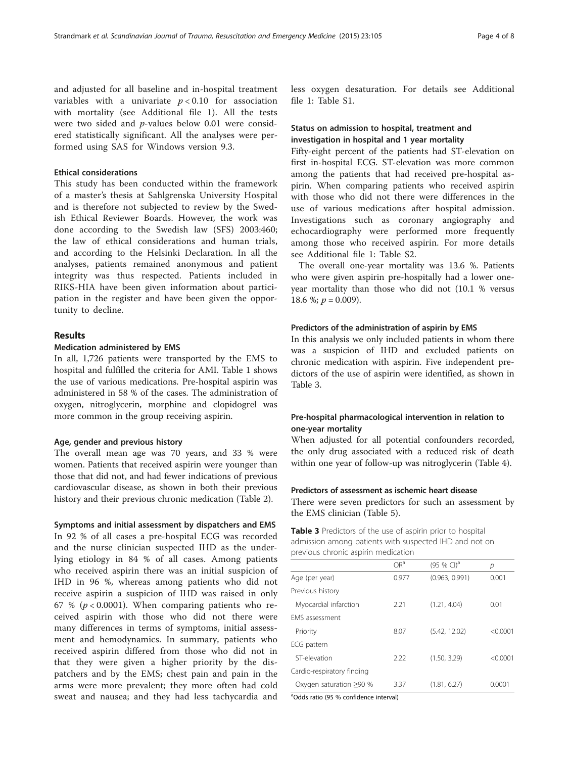<span id="page-3-0"></span>and adjusted for all baseline and in-hospital treatment variables with a univariate  $p < 0.10$  for association with mortality (see Additional file [1](#page-6-0)). All the tests were two sided and p-values below 0.01 were considered statistically significant. All the analyses were performed using SAS for Windows version 9.3.

## Ethical considerations

This study has been conducted within the framework of a master's thesis at Sahlgrenska University Hospital and is therefore not subjected to review by the Swedish Ethical Reviewer Boards. However, the work was done according to the Swedish law (SFS) 2003:460; the law of ethical considerations and human trials, and according to the Helsinki Declaration. In all the analyses, patients remained anonymous and patient integrity was thus respected. Patients included in RIKS-HIA have been given information about participation in the register and have been given the opportunity to decline.

## Results

### Medication administered by EMS

In all, 1,726 patients were transported by the EMS to hospital and fulfilled the criteria for AMI. Table [1](#page-2-0) shows the use of various medications. Pre-hospital aspirin was administered in 58 % of the cases. The administration of oxygen, nitroglycerin, morphine and clopidogrel was more common in the group receiving aspirin.

#### Age, gender and previous history

The overall mean age was 70 years, and 33 % were women. Patients that received aspirin were younger than those that did not, and had fewer indications of previous cardiovascular disease, as shown in both their previous history and their previous chronic medication (Table [2\)](#page-2-0).

Symptoms and initial assessment by dispatchers and EMS

In 92 % of all cases a pre-hospital ECG was recorded and the nurse clinician suspected IHD as the underlying etiology in 84 % of all cases. Among patients who received aspirin there was an initial suspicion of IHD in 96 %, whereas among patients who did not receive aspirin a suspicion of IHD was raised in only 67 % ( $p < 0.0001$ ). When comparing patients who received aspirin with those who did not there were many differences in terms of symptoms, initial assessment and hemodynamics. In summary, patients who received aspirin differed from those who did not in that they were given a higher priority by the dispatchers and by the EMS; chest pain and pain in the arms were more prevalent; they more often had cold sweat and nausea; and they had less tachycardia and less oxygen desaturation. For details see Additional file [1](#page-6-0): Table S1.

## Status on admission to hospital, treatment and investigation in hospital and 1 year mortality

Fifty-eight percent of the patients had ST-elevation on first in-hospital ECG. ST-elevation was more common among the patients that had received pre-hospital aspirin. When comparing patients who received aspirin with those who did not there were differences in the use of various medications after hospital admission. Investigations such as coronary angiography and echocardiography were performed more frequently among those who received aspirin. For more details see Additional file [1](#page-6-0): Table S2.

The overall one-year mortality was 13.6 %. Patients who were given aspirin pre-hospitally had a lower oneyear mortality than those who did not (10.1 % versus 18.6 %;  $p = 0.009$ ).

#### Predictors of the administration of aspirin by EMS

In this analysis we only included patients in whom there was a suspicion of IHD and excluded patients on chronic medication with aspirin. Five independent predictors of the use of aspirin were identified, as shown in Table 3.

## Pre-hospital pharmacological intervention in relation to one-year mortality

When adjusted for all potential confounders recorded, the only drug associated with a reduced risk of death within one year of follow-up was nitroglycerin (Table [4\)](#page-4-0).

## Predictors of assessment as ischemic heart disease

There were seven predictors for such an assessment by the EMS clinician (Table [5\)](#page-4-0).

Table 3 Predictors of the use of aspirin prior to hospital admission among patients with suspected IHD and not on previous chronic aspirin medication

|                               | OR <sup>a</sup> | $(95%$ CI) <sup>a</sup> | р        |
|-------------------------------|-----------------|-------------------------|----------|
| Age (per year)                | 0.977           | (0.963, 0.991)          | 0.001    |
| Previous history              |                 |                         |          |
| Myocardial infarction         | 2.21            | (1.21.4.04)             | 0.01     |
| <b>FMS</b> assessment         |                 |                         |          |
| Priority                      | 8.07            | (5.42, 12.02)           | < 0.0001 |
| ECG pattern                   |                 |                         |          |
| ST-elevation                  | 2.22            | (1.50, 3.29)            | < 0.0001 |
| Cardio-respiratory finding    |                 |                         |          |
| Oxygen saturation $\geq 90$ % | 3.37            | (1.81, 6.27)            | 0.0001   |
|                               |                 |                         |          |

a Odds ratio (95 % confidence interval)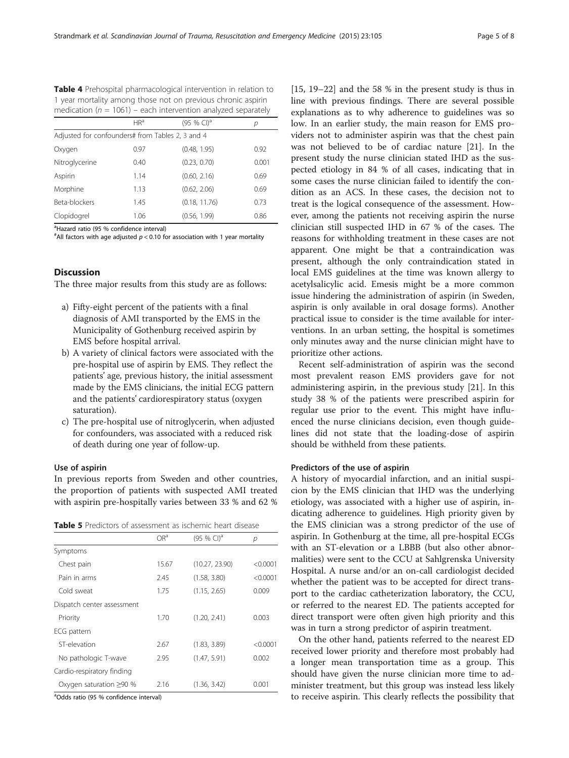<span id="page-4-0"></span>Table 4 Prehospital pharmacological intervention in relation to 1 year mortality among those not on previous chronic aspirin medication ( $n = 1061$ ) – each intervention analyzed separately

|                                                  | HR <sup>a</sup> | (95 % CI) <sup>a</sup> | р     |  |  |  |
|--------------------------------------------------|-----------------|------------------------|-------|--|--|--|
| Adjusted for confounders# from Tables 2, 3 and 4 |                 |                        |       |  |  |  |
| Oxygen                                           | 0.97            | (0.48, 1.95)           | 0.92  |  |  |  |
| Nitroglycerine                                   | 0.40            | (0.23, 0.70)           | 0.001 |  |  |  |
| Aspirin                                          | 1.14            | (0.60, 2.16)           | 0.69  |  |  |  |
| Morphine                                         | 1.13            | (0.62, 2.06)           | 0.69  |  |  |  |
| Beta-blockers                                    | 1.45            | (0.18, 11.76)          | 0.73  |  |  |  |
| Clopidogrel                                      | 1.06            | (0.56, 1.99)           | 0.86  |  |  |  |

<sup>a</sup>Hazard ratio (95 % confidence interval)

 $^{\text{\#}}$ All factors with age adjusted  $p$  < 0.10 for association with 1 year mortality

## **Discussion**

The three major results from this study are as follows:

- a) Fifty-eight percent of the patients with a final diagnosis of AMI transported by the EMS in the Municipality of Gothenburg received aspirin by EMS before hospital arrival.
- b) A variety of clinical factors were associated with the pre-hospital use of aspirin by EMS. They reflect the patients' age, previous history, the initial assessment made by the EMS clinicians, the initial ECG pattern and the patients' cardiorespiratory status (oxygen saturation).
- c) The pre-hospital use of nitroglycerin, when adjusted for confounders, was associated with a reduced risk of death during one year of follow-up.

## Use of aspirin

In previous reports from Sweden and other countries, the proportion of patients with suspected AMI treated with aspirin pre-hospitally varies between 33 % and 62 %

Table 5 Predictors of assessment as ischemic heart disease

|                               | OR <sup>a</sup> | $(95%$ CI) <sup>a</sup> | р        |
|-------------------------------|-----------------|-------------------------|----------|
| Symptoms                      |                 |                         |          |
| Chest pain                    | 15.67           | (10.27, 23.90)          | < 0.0001 |
| Pain in arms                  | 2.45            | (1.58, 3.80)            | < 0.0001 |
| Cold sweat                    | 1.75            | (1.15, 2.65)            | 0.009    |
| Dispatch center assessment    |                 |                         |          |
| Priority                      | 1.70            | (1.20, 2.41)            | 0.003    |
| ECG pattern                   |                 |                         |          |
| ST-elevation                  | 2.67            | (1.83, 3.89)            | < 0.0001 |
| No pathologic T-wave          | 2.95            | (1.47, 5.91)            | 0.002    |
| Cardio-respiratory finding    |                 |                         |          |
| Oxygen saturation $\geq 90$ % | 2.16            | (1.36, 3.42)            | 0.001    |
|                               |                 |                         |          |

<sup>a</sup>Odds ratio (95 % confidence interval)

[[15, 19](#page-7-0)–[22\]](#page-7-0) and the 58 % in the present study is thus in line with previous findings. There are several possible explanations as to why adherence to guidelines was so low. In an earlier study, the main reason for EMS providers not to administer aspirin was that the chest pain was not believed to be of cardiac nature [[21\]](#page-7-0). In the present study the nurse clinician stated IHD as the suspected etiology in 84 % of all cases, indicating that in some cases the nurse clinician failed to identify the condition as an ACS. In these cases, the decision not to treat is the logical consequence of the assessment. However, among the patients not receiving aspirin the nurse clinician still suspected IHD in 67 % of the cases. The reasons for withholding treatment in these cases are not apparent. One might be that a contraindication was present, although the only contraindication stated in local EMS guidelines at the time was known allergy to acetylsalicylic acid. Emesis might be a more common issue hindering the administration of aspirin (in Sweden, aspirin is only available in oral dosage forms). Another practical issue to consider is the time available for interventions. In an urban setting, the hospital is sometimes only minutes away and the nurse clinician might have to prioritize other actions.

Recent self-administration of aspirin was the second most prevalent reason EMS providers gave for not administering aspirin, in the previous study [[21\]](#page-7-0). In this study 38 % of the patients were prescribed aspirin for regular use prior to the event. This might have influenced the nurse clinicians decision, even though guidelines did not state that the loading-dose of aspirin should be withheld from these patients.

## Predictors of the use of aspirin

A history of myocardial infarction, and an initial suspicion by the EMS clinician that IHD was the underlying etiology, was associated with a higher use of aspirin, indicating adherence to guidelines. High priority given by the EMS clinician was a strong predictor of the use of aspirin. In Gothenburg at the time, all pre-hospital ECGs with an ST-elevation or a LBBB (but also other abnormalities) were sent to the CCU at Sahlgrenska University Hospital. A nurse and/or an on-call cardiologist decided whether the patient was to be accepted for direct transport to the cardiac catheterization laboratory, the CCU, or referred to the nearest ED. The patients accepted for direct transport were often given high priority and this was in turn a strong predictor of aspirin treatment.

On the other hand, patients referred to the nearest ED received lower priority and therefore most probably had a longer mean transportation time as a group. This should have given the nurse clinician more time to administer treatment, but this group was instead less likely to receive aspirin. This clearly reflects the possibility that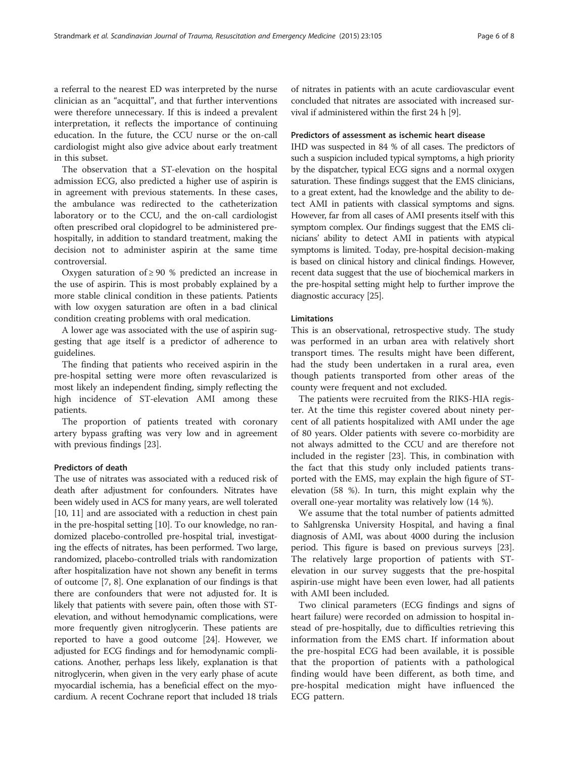a referral to the nearest ED was interpreted by the nurse clinician as an "acquittal", and that further interventions were therefore unnecessary. If this is indeed a prevalent interpretation, it reflects the importance of continuing education. In the future, the CCU nurse or the on-call cardiologist might also give advice about early treatment in this subset.

The observation that a ST-elevation on the hospital admission ECG, also predicted a higher use of aspirin is in agreement with previous statements. In these cases, the ambulance was redirected to the catheterization laboratory or to the CCU, and the on-call cardiologist often prescribed oral clopidogrel to be administered prehospitally, in addition to standard treatment, making the decision not to administer aspirin at the same time controversial.

Oxygen saturation of  $\geq 90$  % predicted an increase in the use of aspirin. This is most probably explained by a more stable clinical condition in these patients. Patients with low oxygen saturation are often in a bad clinical condition creating problems with oral medication.

A lower age was associated with the use of aspirin suggesting that age itself is a predictor of adherence to guidelines.

The finding that patients who received aspirin in the pre-hospital setting were more often revascularized is most likely an independent finding, simply reflecting the high incidence of ST-elevation AMI among these patients.

The proportion of patients treated with coronary artery bypass grafting was very low and in agreement with previous findings [[23\]](#page-7-0).

## Predictors of death

The use of nitrates was associated with a reduced risk of death after adjustment for confounders. Nitrates have been widely used in ACS for many years, are well tolerated [[10](#page-6-0), [11](#page-6-0)] and are associated with a reduction in chest pain in the pre-hospital setting [\[10\]](#page-6-0). To our knowledge, no randomized placebo-controlled pre-hospital trial, investigating the effects of nitrates, has been performed. Two large, randomized, placebo-controlled trials with randomization after hospitalization have not shown any benefit in terms of outcome [\[7, 8](#page-6-0)]. One explanation of our findings is that there are confounders that were not adjusted for. It is likely that patients with severe pain, often those with STelevation, and without hemodynamic complications, were more frequently given nitroglycerin. These patients are reported to have a good outcome [\[24\]](#page-7-0). However, we adjusted for ECG findings and for hemodynamic complications. Another, perhaps less likely, explanation is that nitroglycerin, when given in the very early phase of acute myocardial ischemia, has a beneficial effect on the myocardium. A recent Cochrane report that included 18 trials

of nitrates in patients with an acute cardiovascular event concluded that nitrates are associated with increased survival if administered within the first 24 h [[9](#page-6-0)].

#### Predictors of assessment as ischemic heart disease

IHD was suspected in 84 % of all cases. The predictors of such a suspicion included typical symptoms, a high priority by the dispatcher, typical ECG signs and a normal oxygen saturation. These findings suggest that the EMS clinicians, to a great extent, had the knowledge and the ability to detect AMI in patients with classical symptoms and signs. However, far from all cases of AMI presents itself with this symptom complex. Our findings suggest that the EMS clinicians' ability to detect AMI in patients with atypical symptoms is limited. Today, pre-hospital decision-making is based on clinical history and clinical findings. However, recent data suggest that the use of biochemical markers in the pre-hospital setting might help to further improve the diagnostic accuracy [\[25\]](#page-7-0).

#### Limitations

This is an observational, retrospective study. The study was performed in an urban area with relatively short transport times. The results might have been different, had the study been undertaken in a rural area, even though patients transported from other areas of the county were frequent and not excluded.

The patients were recruited from the RIKS-HIA register. At the time this register covered about ninety percent of all patients hospitalized with AMI under the age of 80 years. Older patients with severe co-morbidity are not always admitted to the CCU and are therefore not included in the register [[23\]](#page-7-0). This, in combination with the fact that this study only included patients transported with the EMS, may explain the high figure of STelevation (58 %). In turn, this might explain why the overall one-year mortality was relatively low (14 %).

We assume that the total number of patients admitted to Sahlgrenska University Hospital, and having a final diagnosis of AMI, was about 4000 during the inclusion period. This figure is based on previous surveys [\[23](#page-7-0)]. The relatively large proportion of patients with STelevation in our survey suggests that the pre-hospital aspirin-use might have been even lower, had all patients with AMI been included.

Two clinical parameters (ECG findings and signs of heart failure) were recorded on admission to hospital instead of pre-hospitally, due to difficulties retrieving this information from the EMS chart. If information about the pre-hospital ECG had been available, it is possible that the proportion of patients with a pathological finding would have been different, as both time, and pre-hospital medication might have influenced the ECG pattern.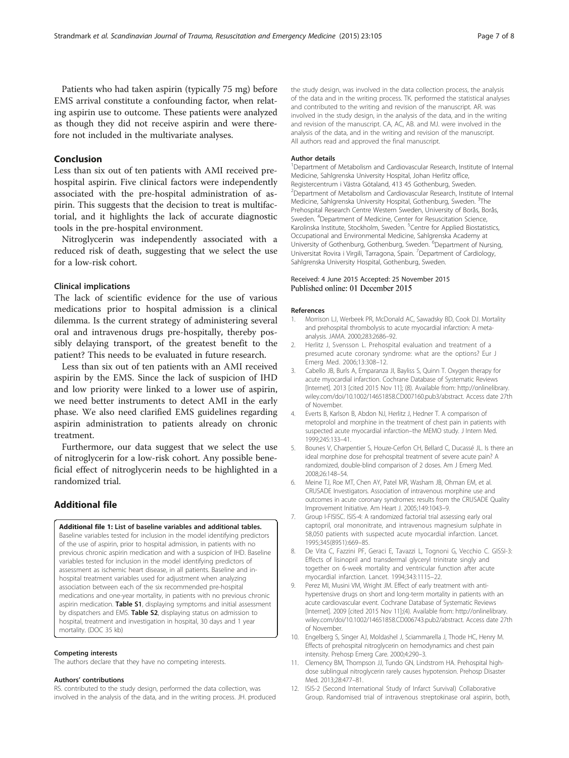<span id="page-6-0"></span>Patients who had taken aspirin (typically 75 mg) before EMS arrival constitute a confounding factor, when relating aspirin use to outcome. These patients were analyzed as though they did not receive aspirin and were therefore not included in the multivariate analyses.

## Conclusion

Less than six out of ten patients with AMI received prehospital aspirin. Five clinical factors were independently associated with the pre-hospital administration of aspirin. This suggests that the decision to treat is multifactorial, and it highlights the lack of accurate diagnostic tools in the pre-hospital environment.

Nitroglycerin was independently associated with a reduced risk of death, suggesting that we select the use for a low-risk cohort.

## Clinical implications

The lack of scientific evidence for the use of various medications prior to hospital admission is a clinical dilemma. Is the current strategy of administering several oral and intravenous drugs pre-hospitally, thereby possibly delaying transport, of the greatest benefit to the patient? This needs to be evaluated in future research.

Less than six out of ten patients with an AMI received aspirin by the EMS. Since the lack of suspicion of IHD and low priority were linked to a lower use of aspirin, we need better instruments to detect AMI in the early phase. We also need clarified EMS guidelines regarding aspirin administration to patients already on chronic treatment.

Furthermore, our data suggest that we select the use of nitroglycerin for a low-risk cohort. Any possible beneficial effect of nitroglycerin needs to be highlighted in a randomized trial.

## Additional file

#### [Additional file 1:](dx.doi.org/10.1186/s13049-015-0188-x) List of baseline variables and additional tables.

Baseline variables tested for inclusion in the model identifying predictors of the use of aspirin, prior to hospital admission, in patients with no previous chronic aspirin medication and with a suspicion of IHD. Baseline variables tested for inclusion in the model identifying predictors of assessment as ischemic heart disease, in all patients. Baseline and inhospital treatment variables used for adjustment when analyzing association between each of the six recommended pre-hospital medications and one-year mortality, in patients with no previous chronic aspirin medication. Table S1, displaying symptoms and initial assessment by dispatchers and EMS. Table S2, displaying status on admission to hospital, treatment and investigation in hospital, 30 days and 1 year mortality. (DOC 35 kb)

#### Competing interests

The authors declare that they have no competing interests.

#### Authors' contributions

RS. contributed to the study design, performed the data collection, was involved in the analysis of the data, and in the writing process. JH. produced the study design, was involved in the data collection process, the analysis of the data and in the writing process. TK. performed the statistical analyses and contributed to the writing and revision of the manuscript. AR. was involved in the study design, in the analysis of the data, and in the writing and revision of the manuscript. CA, AC, AB. and MJ. were involved in the analysis of the data, and in the writing and revision of the manuscript. All authors read and approved the final manuscript.

#### Author details

<sup>1</sup>Department of Metabolism and Cardiovascular Research, Institute of Internal Medicine, Sahlgrenska University Hospital, Johan Herlitz office, Registercentrum i Västra Götaland, 413 45 Gothenburg, Sweden. <sup>2</sup> Department of Metabolism and Cardiovascular Research, Institute of Internal Medicine, Sahlgrenska University Hospital, Gothenburg, Sweden. <sup>3</sup>The Prehospital Research Centre Western Sweden, University of Borås, Borås, Sweden. <sup>4</sup>Department of Medicine, Center for Resuscitation Science Karolinska Institute, Stockholm, Sweden. <sup>5</sup>Centre for Applied Biostatistics Occupational and Environmental Medicine, Sahlgrenska Academy at University of Gothenburg, Gothenburg, Sweden. <sup>6</sup>Department of Nursing, Universitat Rovira i Virgili, Tarragona, Spain. <sup>7</sup> Department of Cardiology, Sahlgrenska University Hospital, Gothenburg, Sweden.

### Received: 4 June 2015 Accepted: 25 November 2015 Published online: 01 December 2015

#### References

- 1. Morrison LJ, Werbeek PR, McDonald AC, Sawadsky BD, Cook DJ. Mortality and prehospital thrombolysis to acute myocardial infarction: A metaanalysis. JAMA. 2000;283:2686–92.
- 2. Herlitz J, Svensson L. Prehospital evaluation and treatment of a presumed acute coronary syndrome: what are the options? Eur J Emerg Med. 2006;13:308–12.
- 3. Cabello JB, Burls A, Emparanza JI, Bayliss S, Quinn T. Oxygen therapy for acute myocardial infarction. Cochrane Database of Systematic Reviews [Internet]. 2013 [cited 2015 Nov 11]; (8). Available from: [http://onlinelibrary.](http://onlinelibrary.wiley.com/doi/10.1002/14651858.CD007160.pub3/abstract) [wiley.com/doi/10.1002/14651858.CD007160.pub3/abstract.](http://onlinelibrary.wiley.com/doi/10.1002/14651858.CD007160.pub3/abstract) Access date 27th of November.
- 4. Everts B, Karlson B, Abdon NJ, Herlitz J, Hedner T. A comparison of metoprolol and morphine in the treatment of chest pain in patients with suspected acute myocardial infarction–the MEMO study. J Intern Med. 1999;245:133–41.
- 5. Bounes V, Charpentier S, Houze-Cerfon CH, Bellard C, Ducassé JL. Is there an ideal morphine dose for prehospital treatment of severe acute pain? A randomized, double-blind comparison of 2 doses. Am J Emerg Med. 2008;26:148–54.
- 6. Meine TJ, Roe MT, Chen AY, Patel MR, Washam JB, Ohman EM, et al. CRUSADE Investigators. Association of intravenous morphine use and outcomes in acute coronary syndromes: results from the CRUSADE Quality Improvement Initiative. Am Heart J. 2005;149:1043–9.
- 7. Group I-FISISC. ISIS-4: A randomized factorial trial assessing early oral captopril, oral mononitrate, and intravenous magnesium sulphate in 58,050 patients with suspected acute myocardial infarction. Lancet. 1995;345(8951):669–85.
- 8. De Vita C, Fazzini PF, Geraci E, Tavazzi L, Tognoni G, Vecchio C. GISSI-3: Effects of lisinopril and transdermal glyceryl trinitrate singly and together on 6-week mortality and ventricular function after acute myocardial infarction. Lancet. 1994;343:1115–22.
- 9. Perez MI, Musini VM, Wright JM. Effect of early treatment with antihypertensive drugs on short and long-term mortality in patients with an acute cardiovascular event. Cochrane Database of Systematic Reviews [Internet]. 2009 [cited 2015 Nov 11];(4). Available from: [http://onlinelibrary.](http://onlinelibrary.wiley.com/doi/10.1002/14651858.CD006743.pub2/abstract) [wiley.com/doi/10.1002/14651858.CD006743.pub2/abstract.](http://onlinelibrary.wiley.com/doi/10.1002/14651858.CD006743.pub2/abstract) Access date 27th of November.
- 10. Engelberg S, Singer AJ, Moldashel J, Sciammarella J, Thode HC, Henry M. Effects of prehospital nitroglycerin on hemodynamics and chest pain intensity. Prehosp Emerg Care. 2000;4:290–3.
- 11. Clemency BM, Thompson JJ, Tundo GN, Lindstrom HA. Prehospital highdose sublingual nitroglycerin rarely causes hypotension. Prehosp Disaster Med. 2013;28:477–81.
- 12. ISIS-2 (Second International Study of Infarct Survival) Collaborative Group. Randomised trial of intravenous streptokinase oral aspirin, both,